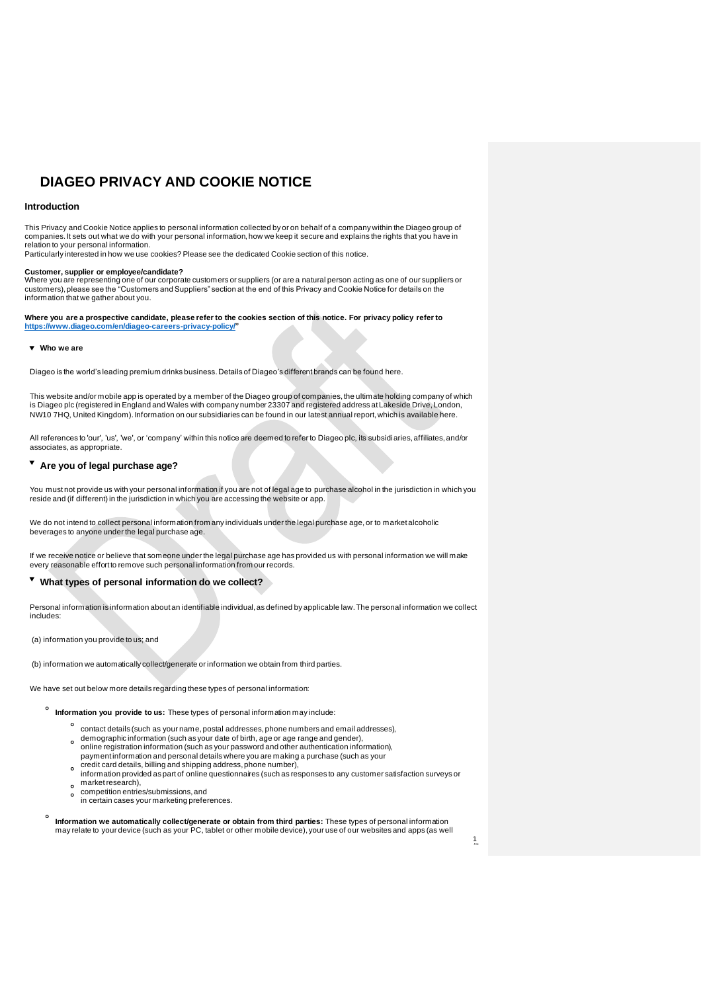# **DIAGEO PRIVACY AND COOKIE NOTICE**

# **Introduction**

This Privacy and Cookie Notice applies to personal information collected by or on behalf of a company within the Diageo group of<br>companies. It sets out what we do with your personal information, how we keep it secure and e relation to your personal information.

Particularly interested in how we use cookies? Please see the dedicated Cookie section of this notice.

#### **Customer, supplier or employee/candidate?**

Where you are representing one of our corporate customers or suppliers (or are a natural person acting as one of our suppliers or<br>customers), please see the "Customers and Suppliers" section at the end of this Privacy and information that we gather about you.

**Where you are a prospective candidate, please refer to the cookies section of this notice. For privacy policy refer to [https://www.diageo.com/en/diageo-careers-privacy-policy/"](https://www.diageo.com/en/diageo-careers-privacy-policy/)**

## **Who we are**

Diageo is the world's leading premium drinks business. Details of Diageo's different brands can be found [here](https://www.diageo.com/en/our-brands/brand-explorer).

This website and/or mobile app is operated by a member of the Diageo group of companies, the ultimate holding company of which is Diageo plc (registered in England and Wales with company number 23307 and registered address at Lakeside Drive, London, NW10 7HQ, United Kingdom). Information on our subsidiaries can be found in our latest annual report, which is available [here](https://www.diageo.com/en/investors/financial-results-and-presentations).

All references to 'our', 'us', 'we', or 'company' within this notice are deemed to refer to Diageo plc, its subsidiaries, affiliates, and/or associates, as appropriate.

# **Are you of legal purchase age?**

You must not provide us with your personal information if you are not of legal age to purchase alcohol in the jurisdiction in which you reside and (if different) in the jurisdiction in which you are accessing the website or app.

We do not intend to collect personal information from any individuals under the legal purchase age, or to market alcoholic beverages to anyone under the legal purchase age.

If we receive notice or believe that someone under the legal purchase age has provided us with personal information we will make every reasonable effort to remove such personal information from our records.

# **What types of personal information do we collect?**

Personal information is information about an identifiable individual, as defined by applicable law. The personal information we collect includes:

(a) information you provide to us; and

(b) information we automatically collect/generate or information we obtain from third parties.

We have set out below more details regarding these types of personal information:

- **Information you provide to us:** These types of personal information may include:
	- contact details (such as your name, postal addresses, phone numbers and email addresses), o demographic information (such as your date of birth, age or age range and gender), online registration information (such as your password and other authentication information),
	- $\circ$
	- payment information and personal details where you are making a purchase (such as your<br>credit card details, billing and shipping address, phone number),<br>information provided as part of online questionnaires (such as respon market research),
	- competition entries/submissions, and  $\ddot{\phantom{0}}$ in certain cases your marketing preferences.
	- **Information we automatically collect/generate or obtain from third parties:** These types of personal information may relate to your device (such as your PC, tablet or other mobile device), your use of our websites and apps (as well

1 /7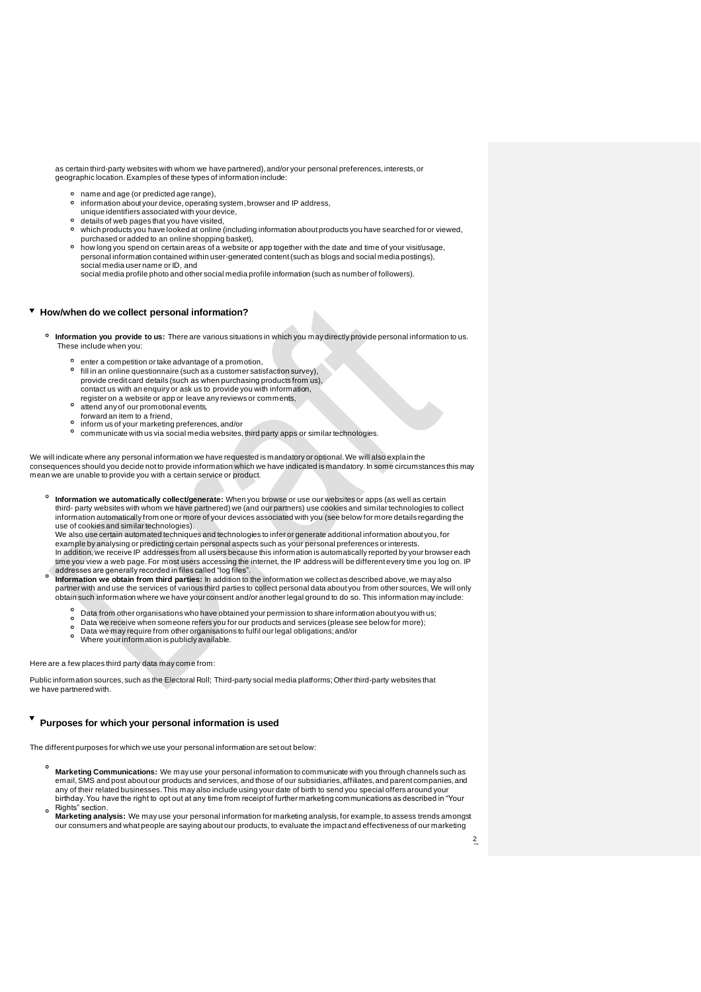as certain third-party websites with whom we have partnered), and/or your personal preferences, interests, or geographic location. Examples of these types of information include:

- name and age (or predicted age range),
- $\circ$ information about your device, operating system, browser and IP address,
- unique identifiers associated with your device,
- $\circ$ details of web pages that you have visited,
- which products you have looked at online (including information about products you have searched for or viewed, purchased or added to an online shopping basket),
- o how long you spend on certain areas of a website or app together with the date and time of your visit/usage, personal information contained within user-generated content (such as blogs and social media postings), social media user name or ID, and

social media profile photo and other social media profile information (such as number of followers).

## **How/when do we collect personal information?**

- **Information you provide to us:** There are various situations in which you may directly provide personal information to us. These include when you:
	- enter a competition or take advantage of a promotion, fill in an online questionnaire (such as a customer satisfaction survey), provide credit card details (such as when purchasing products from us), contact us with an enquiry or ask us to provide you with information,
	- register on a website or app or leave any reviews or comments, attend any of our promotional events,
	-
	- forward an item to a friend, inform us of your marketing preferences, and/or  $\circ$
	- $\circ$ communicate with us via social media websites, third party apps or similar technologies.

We will indicate where any personal information we have requested is mandatory or optional. We will also explain the<br>consequences should you decide not to provide information which we have indicated is mandatory. In some c mean we are unable to provide you with a certain service or product.

**Information we automatically collect/generate:** When you browse or use our websites or apps (as well as certain third- party websites with whom we have partnered) we (and our partners) use cookies and similar technologies to collect information automatically from one or more of your devices associated with you (see below for more details regarding the use of cookies and similar technologies).

We also use certain automated techniques and technologies to infer or generate additional information about you, for example by analysing or predicting certain personal aspects such as your personal preferences or interests.<br>In addition, we receive IP addresses from all users because this information is automatically reported by your bro time you view a web page. For most users accessing the internet, the IP address will be different every time you log on. IP

- addresses are generally recorded in files called "log files". **Information we obtain from third parties:** In addition to the information we collect as described above, we may also partner with and use the services of various third parties to collect personal data about you from other sources, We will only obtain such information where we have your consent and/or another legal ground to do so. This information may include:
	- $\circ$ Data from other organisations who have obtained your permission to share information about you with us;
	- Data we receive when someone refers you for our products and services (please see below for more); Data we may require from other organisations to fulfil our legal obligations; and/or  $\circ$
	- $\circ$
	- Where your information is publicly available.

Here are a few places third party data may come from:

Public information sources, such as the Electoral Roll; Third-party social media platforms; Other third-party websites that we have partnered with.

# **Purposes for which your personal information is used**

The different purposes for which we use your personal information are set out below:

- **Marketing Communications:** We may use your personal information to communicate with you through channels such as<br>email, SMS and post about our products and services, and those of our subsidiaries, affiliates, and parent c any of their related businesses. This may also include using your date of birth to send you special offers around your birthday. You have the right to opt out at any time from receipt of further marketing communications as described in "Your Rights" section.
- **Marketing analysis:** We may use your personal information for marketing analysis, for example, to assess trends amongst our consumers and what people are saying about our products, to evaluate the impact and effectiveness of our marketing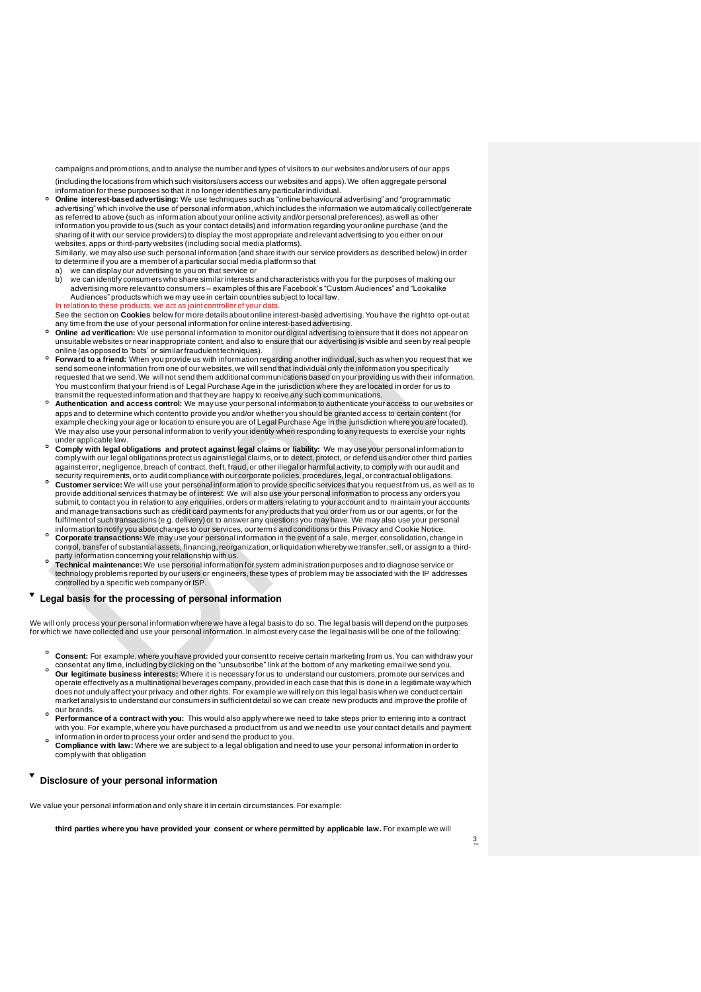campaigns and promotions, and to analyse the number and types of visitors to our websites and/or users of our apps (including the locations from which such visitors/users access our websites and apps). We often aggregate personal

information for these purposes so that it no longer identifies any particular individual. **Online interest-based advertising:** We use techniques such as "online behavioural advertising" and "programmatic advertising" which involve the use of personal information, which includes the information we automatically collect/generate as referred to above (such as information about your online activity and/or personal preferences), as well as other information you provide to us (such as your contact details) and information regarding your online purchase (and the<br>sharing of it with our service providers) to display the most appropriate and relevant advertising to you websites, apps or third-party websites (including social media platforms). Similarly, we may also use such personal information (and share it with our service providers as described below) in order

to determine if you are a member of a particular social media platform so that a) we can display our advertising to you on that service or<br>b) we can identify consumers who share similar interests a

b) we can identify consumers who share similar interests and characteristics with you for the purposes of making our advertising more relevant to consumers – examples of this are Facebook's "Custom Audiences" and "Lookalike Audiences" products which we may use in certain countries subject to local law.

In relation to these products, we act as joint controller of your data. See the section on **Cookies** below for more details about online interest-based advertising. You have the right to opt-out at any time from the use of your personal information for online interest-based advertising.

- **Online ad verification:** We use personal information to monitor our digital advertising to ensure that it does not appear on unsuitable websites or near inappropriate content, and also to ensure that our advertising is visible and seen by real people online (as opposed to 'bots' or similar fraudulent techniques).
- **Forward to a friend:** When you provide us with information regarding another individual, such as when you request that we send someone information from one of our websites, we will send that individual only the information you specifically requested that we send. We will not send them additional communications based on your providing us with their information. You must confirm that your friend is of Legal Purchase Age in the jurisdiction where they are located in order for us to transmit the requested information and that they are happy to receive any such communications.
- **Authentication and access control:** We may use your personal information to authenticate your access to our websites or apps and to determine which content to provide you and/or whether you should be granted access to certain content (for example checking your age or location to ensure you are of Legal Purchase Age in the jurisdiction where you are located). We may also use your personal information to verify your identity when responding to any requests to exercise your rights under applicable law.
- **Comply with legal obligations and protect against legal claims or liability:** We may use your personal information to comply with our legal obligations protect us against legal claims, or to detect, protect, or defend us and/or other third parties<br>against error, negligence, breach of contract, theft, fraud, or other illegal or harmful act security requirements, or to audit compliance with our corporate policies, procedures, legal, or contractual obligations.
- **Customer service:** We will use your personal information to provide specific services that you request from us, as well as to provide additional services that may be of interest. We will also use your personal information to process any orders you submit, to contact you in relation to any enquiries,orders or matters relating to your account and to maintain your accounts and manage transactions such as credit card payments for any products that you order from us or our agents, or for the fulfilment of such transactions (e.g. delivery) or to answer any questions you may have. We may also use your personal information to notify you about changes to our services, our terms and conditions or this Privacy and Cookie Notice.
- **Corporate transactions:** We may use your personal information in the event of a sale, merger, consolidation, change in control, transfer of substantial assets, financing, reorganization, or liquidation whereby we transfer, sell, or assign to a thirdparty information concerning your relationship with us.
- **Technical maintenance:** We use personal information for system administration purposes and to diagnose service or technology problems reported by our users or engineers, these types of problem may be associated with the IP addresses controlled by a specific web company or ISP.

# **Legal basis for the processing of personal information**

We will only process your personal information where we have a legal basis to do so. The legal basis will depend on the purposes<br>for which we have collected and use your personal information. In almost every case the legal

- **Consent:** For example, where you have provided your consent to receive certain marketing from us. You can withdraw your consent at any time, including by clicking on the "unsubscribe" link at the bottom of any marketing email we send you.
- **Our legitimate business interests:** Where it is necessary for us to understand our customers, promote our services and operate effectively as a multinational beverages company, provided in each case that this is done in a legitimate way which<br>does not unduly affect your privacy and other rights. For example we will rely on this legal basis market analysis to understand our consumers in sufficient detail so we can create new products and improve the profile of our brands.
- **Performance of a contract with you:** This would also apply where we need to take steps prior to entering into a contract with you. For example, where you have purchased a product from us and we need to use your contact details and payment information in order to process your order and send the product to you.
- **Compliance with law:** Where we are subject to a legal obligation and need to use your personal information in order to comply with that obligation

# **Disclosure of your personal information**

We value your personal information and only share it in certain circumstances. For example:

**third parties where you have provided your consent or where permitted by applicable law.** For example we will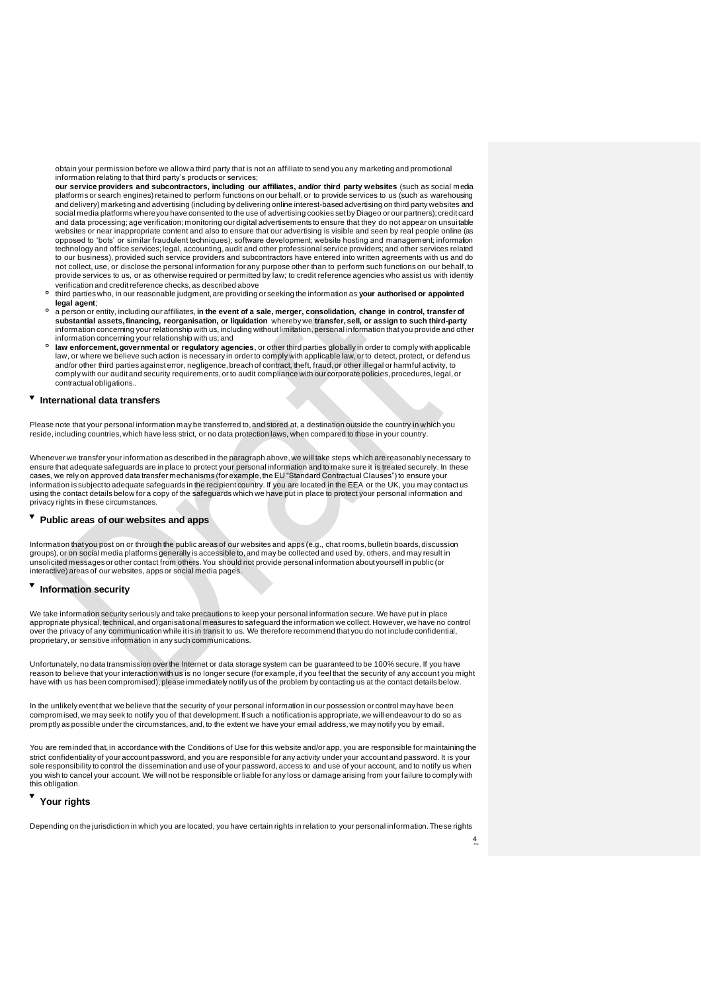obtain your permission before we allow a third party that is not an affiliate to send you any marketing and promotional information relating to that third party's products or services;

**our service providers and subcontractors, including our affiliates, and/or third party websites** (such as social media platforms or search engines) retained to perform functions on our behalf, or to provide services to us (such as warehousing and delivery) marketing and advertising (including by delivering online interest-based advertising on third party websites and social media platforms where you have consented to the use of advertising cookies set by Diageo or our partners); credit card and data processing; age verification; monitoring our digital advertisements to ensure that they do not appear on unsuitable websites or near inappropriate content and also to ensure that our advertising is visible and seen by real people online (as opposed to 'bots' or similar fraudulent techniques); software development; website hosting and management; information technology and office services; legal, accounting, audit and other professional service providers; and other services related to our business), provided such service providers and subcontractors have entered into written agreements with us and do not collect, use, or disclose the personal information for any purpose other than to perform such functions on our behalf, to provide services to us, or as otherwise required or permitted by law; to credit reference agencies who assist us with identity verification and credit reference checks, as described above

- $\circ$ third parties who, in our reasonable judgment, are providing or seeking the information as **your authorised or appointed legal agent**;
- $\circ$ a person or entity, including our affiliates, **in the event of a sale, merger, consolidation, change in control, transfer of substantial assets, financing, reorganisation, or liquidation** whereby we **transfer, sell, or assign to such third-party** information concerning your relationship with us, including without limitation, personal information that you provide and other information concerning your relationship with us; and
- $\circ$ **law enforcement, governmental or regulatory agencies**, or other third parties globally in order to comply with applicable law, or where we believe such action is necessary in order to comply with applicable law, or to detect, protect, or defend us and/or other third parties against error, negligence, breach of contract, theft, fraud, or other illegal or harmful activity, to comply with our audit and security requirements, or to audit compliance with our corporate policies, procedures, legal, or contractual obligations..

## **International data transfers**

Please note that your personal information may be transferred to, and stored at, a destination outside the country in which you reside, including countries, which have less strict, or no data protection laws, when compared to those in your country.

Whenever we transfer your information as described in the paragraph above, we will take steps which are reasonably necessary to ensure that adequate safeguards are in place to protect your personal information and to make sure it is treated securely. In these cases, we rely on approved data transfer mechanisms (for example, the EU "Standard Contractual Clauses") to ensure your information is subject to adequate safeguards in the recipient country. If you are located in the EEA or the UK, you may contact us using the contact details below for a copy of the safeguards which we have put in place to protect your personal information and privacy rights in these circumstances.

# **Public areas of our websites and apps**

Information that you post on or through the public areas of our websites and apps (e.g., chat rooms, bulletin boards, discussion<br>groups), or on social media platforms generally is accessible to, and may be collected and us unsolicited messages or other contact from others. You should not provide personal information about yourself in public (or interactive) areas of our websites, apps or social media pages.

# **Information security**

We take information security seriously and take precautions to keep your personal information secure. We have put in place<br>appropriate physical, technical, and organisational measures to safeguard the information we collec over the privacy of any communication while it is in transit to us. We therefore recommend that you do not include confidential, proprietary, or sensitive information in any such communications.

Unfortunately, no data transmission over the Internet or data storage system can be guaranteed to be 100% secure. If you have reason to believe that your interaction with us is no longer secure (for example, if you feel that the security of any account you might<br>have with us has been compromised), please immediately notify us of the problem by co

In the unlikely event that we believe that the security of your personal information in our possession or control may have been compromised, we may seek to notify you of that development. If such a notification is appropriate, we will endeavour to do so as promptly as possible under the circumstances, and, to the extent we have your email address, we may notify you by email.

You are reminded that, in accordance with the Conditions of Use for this website and/or app, you are responsible for maintaining the strict confidentiality of your account password, and you are responsible for any activity under your account and password. It is your sole responsibility to control the dissemination and use of your password, access to and use of your account, and to notify us when you wish to cancel your account. We will not be responsible or liable for any loss or damage arising from your failure to comply with this obligation.

# **Your rights**

Depending on the jurisdiction in which you are located, you have certain rights in relation to your personal information. These rights

4 /7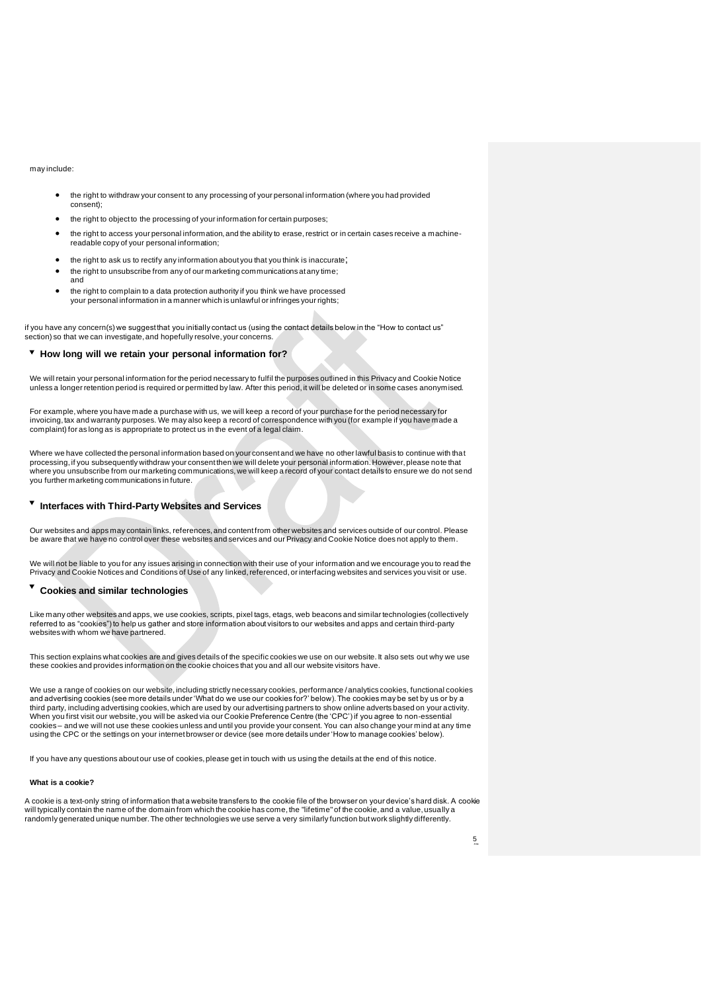### may include:

and

- the right to withdraw your consent to any processing of your personal information (where you had provided consent);
- the right to object to the processing of your information for certain purposes:
- the right to access your personal information, and the ability to erase, restrict or in certain cases receive a machinereadable copy of your personal information;
- the right to ask us to rectify any information about you that you think is inaccurate;
- the right to unsubscribe from any of our marketing communications at any time;
- the right to complain to a data protection authority if you think we have processed your personal information in a manner which is unlawful or infringes your rights;

if you have any concern(s) we suggest that you initially contact us (using the contact details below in the "How to contact us" section) so that we can investigate, and hopefully resolve, your concerns.

# **How long will we retain your personal information for?**

We will retain your personal information for the period necessary to fulfil the purposes outlined in this Privacy and Cookie Notice unless a longer retention period is required or permitted by law. After this period, it will be deleted or in some cases anonymised.

For example, where you have made a purchase with us, we will keep a record of your purchase for the period necessary for<br>invoicing, tax and warranty purposes. We may also keep a record of correspondence with you (for examp complaint) for as long as is appropriate to protect us in the event of a legal claim.

Where we have collected the personal information based on your consent and we have no other lawful basis to continue with that processing, if you subsequently withdraw your consent then we will delete your personal information. However, please note that where you unsubscribe from our marketing communications, we will keep a record of your contact details to ensure we do not send you further marketing communications in future.

# **Interfaces with Third-Party Websites and Services**

Our websites and apps may contain links, references, and content from other websites and services outside of our control. Please<br>be aware that we have no control over these websites and services and our Privacy and Cookie

We will not be liable to you for any issues arising in connection with their use of your information and we encourage you to read the<br>Privacy and Cookie Notices and Conditions of Use of any linked, referenced, or interfaci

# **Cookies and similar technologies**

Like many other websites and apps, we use cookies, scripts, pixel tags, etags, web beacons and similar technologies (collectively referred to as "cookies") to help us gather and store information about visitors to our websites and apps and certain third-party websites with whom we have partnered.

This section explains what cookies are and gives details of the specific cookies we use on our website. It also sets out why we use these cookies and provides information on the cookie choices that you and all our website visitors have.

We use a range of cookies on our website, including strictly necessary cookies, performance /analytics cookies, functional cookies<br>and advertising cookies (see more details under 'What do we use our cookies for?' below). T third party, including advertising cookies, which are used by our advertising partners to show online adverts based on your activity. When you first visit our website, you will be asked via our Cookie Preference Centre (the 'CPC') if you agree to non-essential cookies – and we will not use these cookies unless and until you provide your consent. You can also change your mind at any time using the CPC or the settings on your internet browser or device (see more details under 'How to manage cookies' below).

If you have any questions about our use of cookies, please get in touch with us using the details at the end of this notice.

### **What is a cookie?**

A cookie is a text-only string of information that a website transfers to the cookie file of the browser on your device's hard disk. A cookie will typically contain the name of the domain from which the cookie has come, the "lifetime" of the cookie, and a value, usually a randomly generated unique number. The other technologies we use serve a very similarly function but work slightly differently.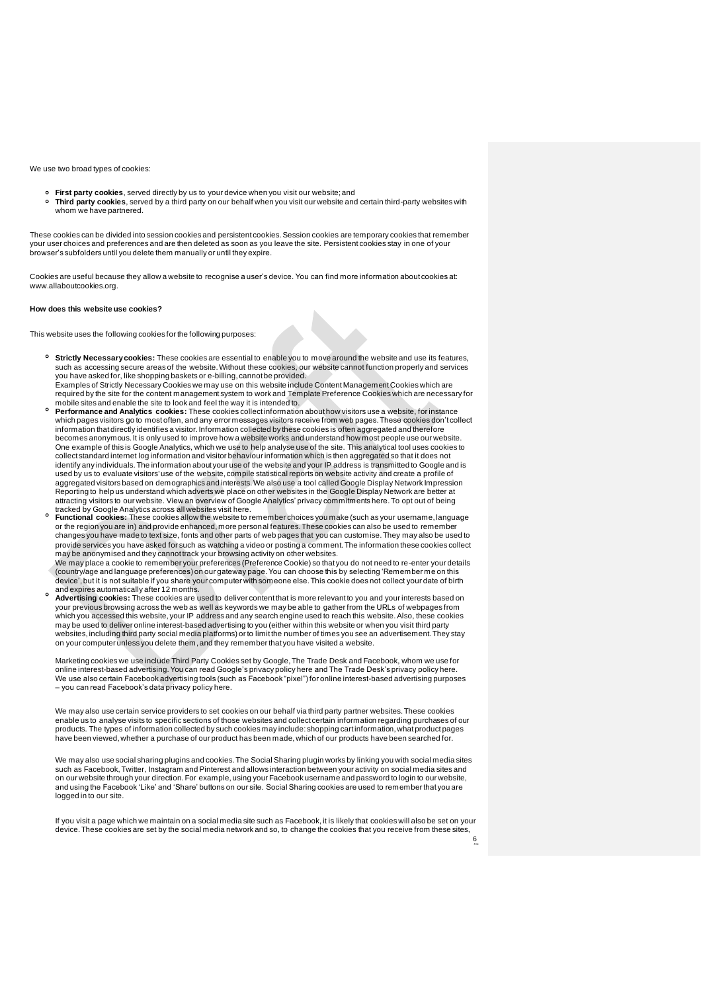We use two broad types of cookies:

- 
- **First party cookies**, served directly by us to your device when you visit our website; and<br>**Third party cookies**, served by a third party on our behalf when you visit our website and certain third-party websites with whom we have partnered.

These cookies can be divided into session cookies and persistent cookies. Session cookies are temporary cookies that remember your user choices and preferences and are then deleted as soon as you leave the site. Persistent cookies stay in one of your browser's subfolders until you delete them manually or until they expire.

Cookies are useful because they allow a website to recognise a user's device. You can find more information about cookies at: [www.allaboutcookies.org](http://www.allaboutcookies.org/).

### **How does this website use cookies?**

This website uses the following cookies for the following purposes:

- **Strictly Necessary cookies:** These cookies are essential to enable you to move around the website and use its features, such as accessing secure areas of the website. Without these cookies, our website cannot function properly and services you have asked for, like shopping baskets or e-billing, cannot be provided. Examples of Strictly Necessary Cookies we may use on this website include Content Management Cookies which are<br>required by the site for the content management system to work and Template Preference Cookies which are necess
- mobile sites and enable the site to look and feel the way it is intended to. **Performance and Analytics cookies:** These cookies collect information about how visitors use a website, for instance which pages visitors go to most often, and any error messages visitors receive from web pages. These cookies don't collect information that directly identifies a visitor. Information collected by these cookies is often aggregated and therefore
- becomes anonymous. It is only used to improve how a website works and understand how most people use our website. One example of this is Google Analytics, which we use to help analyse use of the site. This analytical tool uses cookies to collect standard internet log information and visitor behaviour information which is then aggregated so that it does not identify any individuals. The information about your use of the website and your IP address is transmitted to Google and is used by us to evaluate visitors' use of the website, compile statistical reports on website activity and create a profile of aggregated visitors based on demographics and interests. We also use a tool called Google Display Network Impression Reporting to help us understand which adverts we place on other websites in the Google Display Network are better at attracting visitors to our website. [View an overview of Google Analytics' privacy commitments here](https://support.google.com/analytics/answer/6004245). To opt out of being tracked by Google Analytics across all websites visit [here](https://tools.google.com/dlpage/gaoptout).
- $\circ$ **Functional cookies:** These cookies allow the website to remember choices you make (such as your username, language<br>or the region you are in) and provide enhanced, more personal features. These cookies can also be used to changes you have made to text size, fonts and other parts of web pages that you can customise. They may also be used to provide services you have asked for such as watching a video or posting a comment. The information these cookies collect
- may be anonymised and they cannot track your browsing activity on other websites.<br>We may place a cookie to remember your preferences (Preference Cookie) so that you do not need to re-enter your details (country/age and language preferences) on our gateway page. You can choose this by selecting 'Remember me on this device', but it is not suitable if you share your computer with someone else. This cookie does not collect your date of birth and expires automatically after 12 months.
- **Advertising cookies:** These cookies are used to deliver content that is more relevant to you and your interests based on your previous browsing across the web as well as keywords we may be able to gather from the URLs of webpages from which you accessed this website, your IP address and any search engine used to reach this website. Also, these cookies<br>may be used to deliver online interest-based advertising to you (either within this website or when you websites, including third party social media platforms) or to limit the number of times you see an advertisement. They stay on your computer unless you delete them,and they remember that you have visited a website.

Marketing cookies we use include Third Party Cookie[s set by Google, The Tr](https://policies.google.com/technologies/partner-sites)ade Desk and Facebook, whom w[e use f](https://www.thetradedesk.com/general/privacy)or online interest-based advertising. You can read Google's privacy policy here and The Trade Desk's privacy policy here.<br>We use also certain Facebook advertising to[ols \(suc](https://www.facebook.com/about/privacy/)h as Facebook "pixel") for online interest-based adv – you can read Facebook's data privacy policy here.

We may also use certain service providers to set cookies on our behalf via third party partner websites. These cookies enable us to analyse visits to specific sections of those websites and collect certain information regarding purchases of our products. The types of information collected by such cookies may include: shopping cart information, what product pages have been viewed, whether a purchase of our product has been made, which of our products have been searched for.

We may also use social sharing plugins and cookies. The Social Sharing plugin works by linking you with social media sites such as Facebook, Twitter, Instagram and Pinterest and allows interaction between your activity on social media sites and on our website through your direction. For example, using your Facebook username and password to login to our website, and using the Facebook 'Like' and 'Share' buttons on our site. Social Sharing cookies are used to remember that you are logged in to our site.

If you visit a page which we maintain on a social media site such as Facebook, it is likely that cookies will also be set on your device. These cookies are set by the social media network and so, to change the cookies that you receive from these sites,

6 /7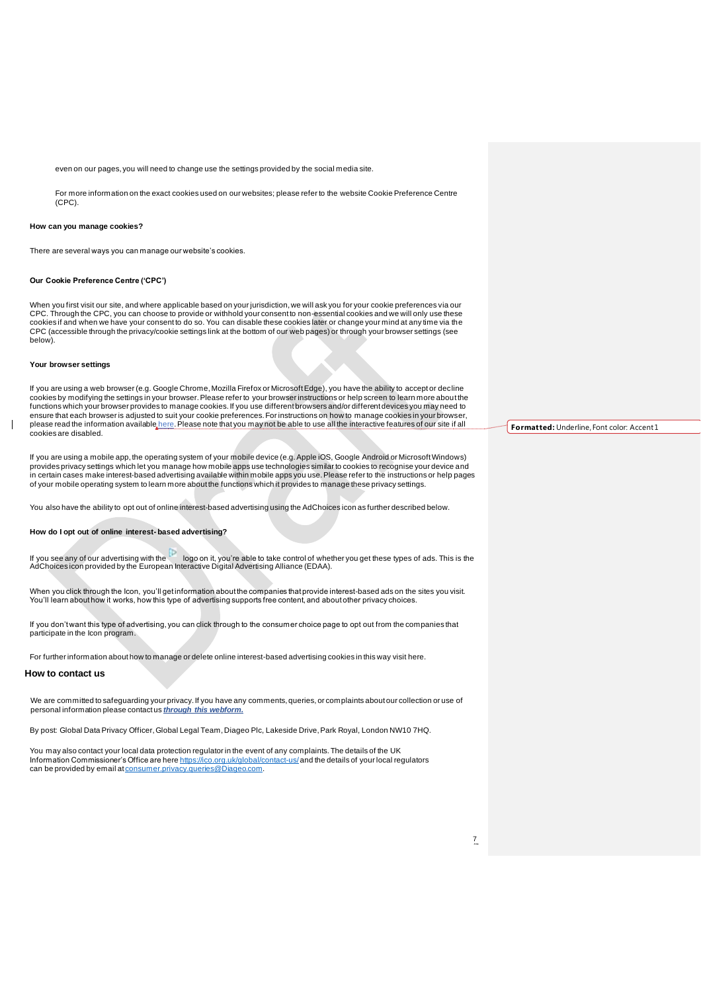even on our pages, you will need to change use the settings provided by the social media site.

For more information on the exact cookies used on our websites; please refer to the website Cookie Preference Centre (CPC).

### **How can you manage cookies?**

There are several ways you can manage our website's cookies.

## **Our Cookie Preference Centre ('CPC')**

When you first visit our site, and where applicable based on your jurisdiction, we will ask you for your cookie preferences via our CPC. Through the CPC, you can choose to provide or withhold your consent to non-essential cookies and we will only use these cookies if and when we have your consent to do so. You can disable these cookies later or change your mind at any time via the CPC (accessible through the privacy/cookie settings link at the bottom of our web pages) or through your browser settings (see below).

### **Your browser settings**

lf you are using a web browser (e.g. Google Chrome, Mozilla Firefox or Microsoft Edge), you have the ability to accept or decline<br>cookies by modifying the settings in your browser. Please refer to your browser instructions functions which your browser provides to manage cookies. If you use different browsers and/or different devices you may need to ensure that each browser is adjusted to suit your cookie preferences. For instructions on how to manage cookies in your browser,<br>please read the information available <u>[here](http://www.allaboutcookies.org/manage-cookies/)</u>. Please note that you may not be able to use all cookies are disabled.

lf you are using a mobile app, the operating system of your mobile device (e.g. Apple iOS, Google Android or Microsoft Windows)<br>provides privacy settings which let you manage how mobile apps use technologies similar to coo in certain cases make interest-based advertising available within mobile apps you use. Please refer to the instructions or help pages<br>of your mobile operating system to learn more about the functions which it provides to m

You also have the ability to opt out of online interest-based advertising using the AdChoices icon as further described below.

### **How do I opt out of online interest- based advertising?**

If you see any of our advertising with the logo on it, you're able to take control of whether you get these types of ads. This is the AdChoices icon provided by the European Interactive Digital Advertising Alliance (EDAA).

When you click through the Icon, you'll get information about the companies that provide interest-based ads on the sites you visit. You'll learn about how it works, how this type of advertising supports free content, and about other privacy choices.

If you don't want this type of advertising, you can click through to the consumer choice page to opt out from the companies that participate in the Icon program.

For further information about how to manage or delete online interest-based advertising cookies in this way visit [here](http://www.youradchoices.com/).

## **How to contact us**

We are committed to safeguarding yo[ur privacy. If you have any](https://privacyportal-uk.onetrust.com/webform/a9d71640-d3c6-49bc-bdfc-3b401ef238f2/c4b69974-07d0-464f-81f6-e45d0b09843f) comments, queries, or complaints about our collection or use of personal information please contact us *through this webform.*

By post: Global Data Privacy Officer, Global Legal Team, Diageo Plc, Lakeside Drive, Park Royal, London NW10 7HQ.

You may also contact your local data prote[ction regulator in the](https://ico.org.uk/global/contact-us/) event of any complaints. The details of the UK Information Commissioner's Office are here https://ico.org.uk/global/contact-us/ and the details of your local regulators can be provided by email a[t consumer.privacy.queries@Diageo.com](mailto:consumer.privacy.queries@Diageo.com).

**Formatted:** Underline, Font color: Accent1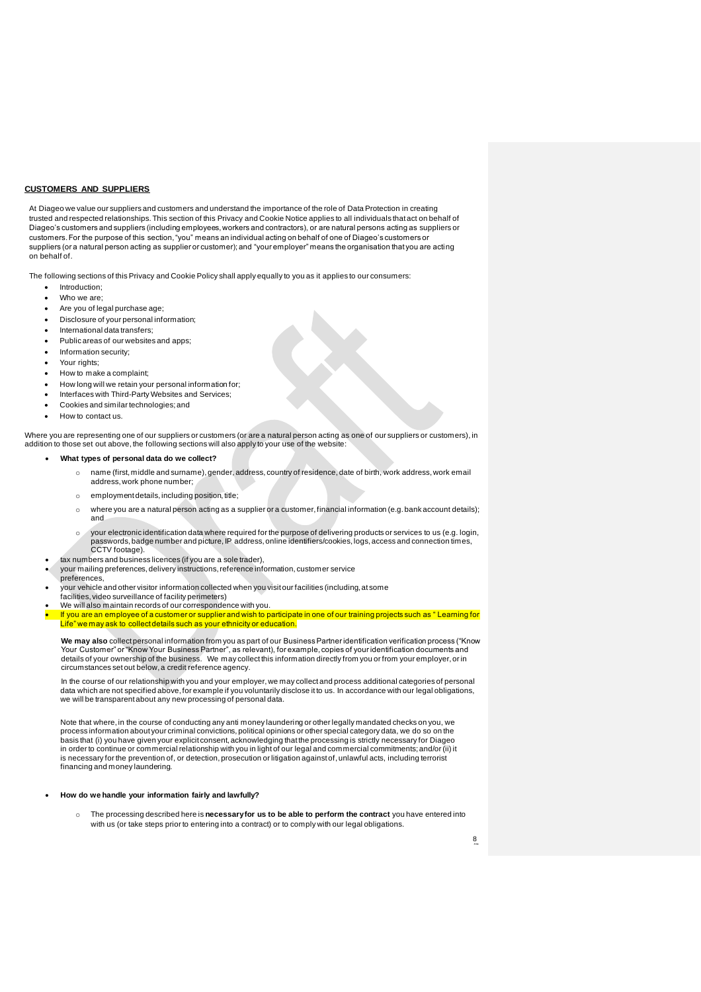## **CUSTOMERS AND SUPPLIERS**

At Diageo we value our suppliers and customers and understand the importance of the role of Data Protection in creating trusted and respected relationships. This section of this Privacy and Cookie Notice applies to all individuals that act on behalf of Diageo's customers and suppliers (including employees, workers and contractors), or are natural persons acting as suppliers or customers. For the purpose of this section, "you" means an individual acting on behalf of one of Diageo's customers or suppliers (or a natural person acting as supplier or customer); and "your employer" means the organisation that you are acting on behalf of.

The following sections of this Privacy and Cookie Policy shall apply equally to you as it applies to our consumers:

- Introduction;
- Who we are:
- Are you of legal purchase age;
- Disclosure of your personal information;
- International data transfers;
- Public areas of our websites and apps;
- Information security;
- Your rights;
- How to make a complaint;
- How long will we retain your personal information for;
- Interfaces with Third-Party Websites and Services;
- Cookies and similar technologies; and
- How to contact us.

Where you are representing one of our suppliers or customers (or are a natural person acting as one of our suppliers or customers), in addition to those set out above, the following sections will also apply to your use of the website:

### • **What types of personal data do we collect?**

- o name (first, middle and surname), gender, address, country of residence, date of birth, work address, work email address, work phone number;
- o employment details, including position, title;
- o where you are a natural person acting as a supplier or a customer, financial information (e.g. bank account details); and
- o your electronic identification data where required for the purpose of delivering products or services to us (e.g. login, passwords, badge number and picture, IP address, online identifiers/cookies, logs, access and connection times, CCTV footage).
- tax numbers and business licences (if you are a sole trader),
	- your mailing preferences, delivery instructions, reference information, customer service preferences,
- your vehicle and other visitor information collected when you visit our facilities (including, at some facilities, video surveillance of facility perimeters)
- We will also maintain records of our correspondence with you.

• If you are an employee of a customer or supplier and wish to participate in one of our training projects such as " Learning for Life" we may ask to collect details such as your ethnicity or education.

**We may also** collect personal information from you as part of our Business Partner identification verification process ("Know Your Customer" or "Know Your Business Partner", as relevant), for example, copies of your identification documents and<br>details of your ownership of the business. We may collect this information directly from you or from circumstances set out below, a credit reference agency.

In the course of our relationship with you and your employer, we may collect and process additional categories of personal data which are not specified above, for example if you voluntarily disclose it to us. In accordance with our legal obligations, we will be transparent about any new processing of personal data.

Note that where, in the course of conducting any anti money laundering or other legally mandated checks on you, we<br>process information about your criminal convictions, political opinions or other special category data, we basis that (i) you have given your explicit consent, acknowledging that the processing is strictly necessary for Diageo in order to continue or commercial relationship with you in light of our legal and commercial commitments; and/or (ii) it<br>is necessary for the prevention of, or detection, prosecution or litigation against of, unlawful act financing and money laundering.

### • **How do we handle your information fairly and lawfully?**

o The processing described here is **necessary for us to be able to perform the contract** you have entered into with us (or take steps prior to entering into a contract) or to comply with our legal obligations.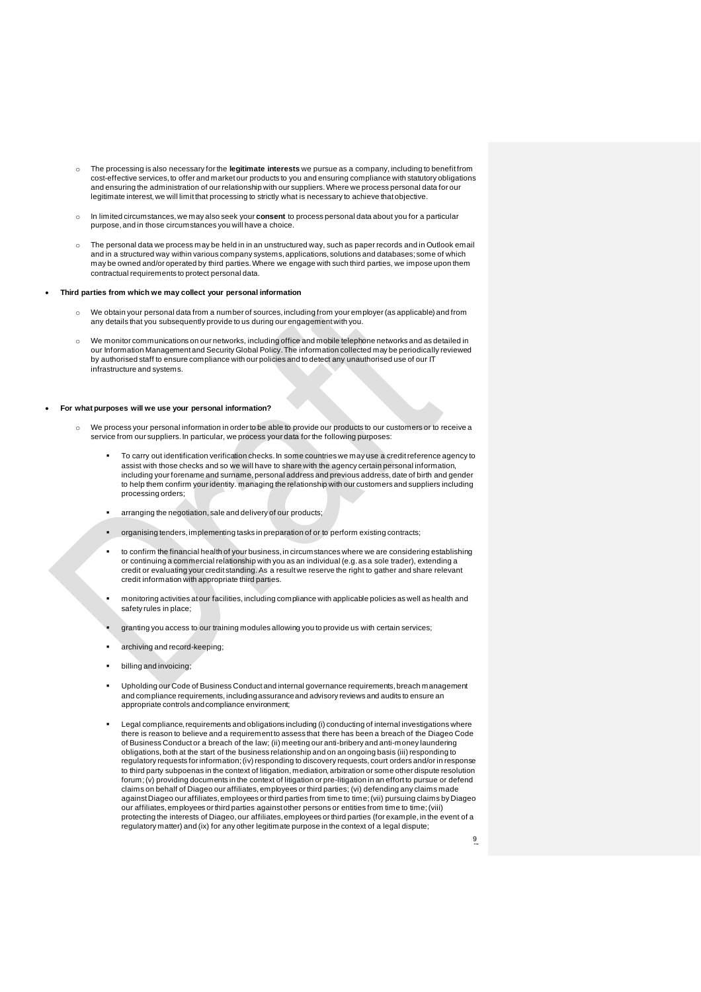- o The processing is also necessary for the **legitimate interests** we pursue as a company, including to benefit from cost-effective services, to offer and market our products to you and ensuring compliance with statutory obligations and ensuring the administration of our relationship with our suppliers.Where we process personal data for our legitimate interest, we will limit that processing to strictly what is necessary to achieve that objective
- o In limited circumstances, we may also seek your **consent** to process personal data about you for a particular purpose, and in those circumstances you will have a choice.
- o The personal data we process may be held in in an unstructured way, such as paper records and in Outlook email and in a structured way within various company systems, applications, solutions and databases; some of which may be owned and/or operated by third parties. Where we engage with such third parties, we impose upon them contractual requirements to protect personal data.

### • **Third parties from which we may collect your personal information**

- We obtain your personal data from a number of sources, including from your employer (as applicable) and from any details that you subsequently provide to us during our engagement with you.
- We monitor communications on our networks, including office and mobile telephone networks and as detailed in our Information Management and Security Global Policy. The information collected may be periodically reviewed by authorised staff to ensure compliance with our policies and to detect any unauthorised use of our IT infrastructure and systems.

### • **For what purposes will we use your personal information?**

- o We process your personal information in order to be able to provide our products to our customers or to receive a service from our suppliers. In particular, we process your data for the following purposes:
	- To carry out identification verification checks. In some countries we may use a credit reference agency to assist with those checks and so we will have to share with the agency certain personal information, including your forename and surname, personal address and previous address, date of birth and gender to help them confirm your identity. managing the relationship with our customers and suppliers including processing orders;
	- arranging the negotiation, sale and delivery of our products;
	- organising tenders, implementing tasks in preparation of or to perform existing contracts;
	- to confirm the financial health of your business, in circumstances where we are considering establishing or continuing a commercial relationship with you as an individual (e.g. as a sole trader), extending a credit or evaluating your credit standing. As a result we reserve the right to gather and share relevant credit information with appropriate third parties.
	- monitoring activities at our facilities, including compliance with applicable policies as well as health and safety rules in place;
	- granting you access to our training modules allowing you to provide us with certain services;
	- archiving and record-keeping;
	- billing and invoicing:
	- Upholding our Code of Business Conduct and internal governance requirements, breach management and compliance requirements, includingassuranceand advisory reviews and audits to ensure an appropriate controls andcompliance environment;
	- Legal compliance, requirements and obligations including (i) conducting of internal investigations where there is reason to believe and a requirement to assess that there has been a breach of the Diageo Code of Business Conduct or a breach of the law; (ii) meeting our anti-bribery and anti-money laundering obligations, both at the start of the business relationship and on an ongoing basis (iii) responding to regulatory requests for information; (iv) responding to discovery requests, court orders and/or in response to third party subpoenas in the context of litigation, mediation, arbitration or some other dispute resolution forum; (v) providing documents in the context of litigation or pre-litigation in an effort to pursue or defend claims on behalf of Diageo our affiliates, employees or third parties; (vi) defending any claims made against Diageo our affiliates, employees or third parties from time to time; (vii) pursuing claims by Diageo our affiliates, employees or third parties against other persons or entities from time to time; (viii) protecting the interests of Diageo, our affiliates, employees or third parties (for example, in the event of a regulatory matter) and (ix) for any other legitimate purpose in the context of a legal dispute;